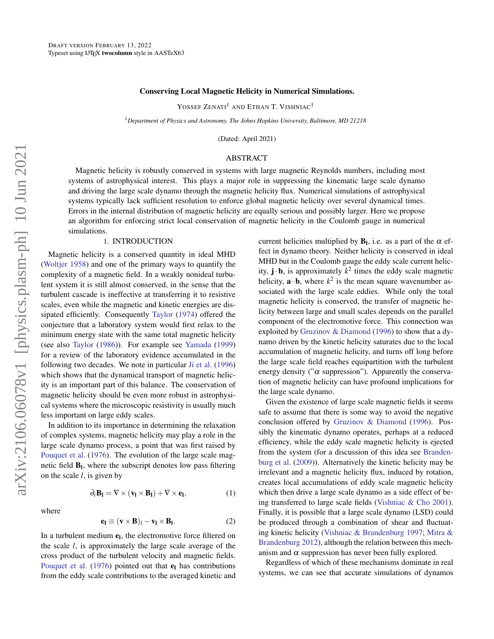#### Conserving Local Magnetic Helicity in Numerical Simulations.

YOSSEF ZENATI<sup>1</sup> AND ETHAN T. VISHNIAC<sup>1</sup>

<sup>1</sup>*Department of Physics and Astronomy, The Johns Hopkins University, Baltimore, MD 21218*

(Dated: April 2021)

# ABSTRACT

Magnetic helicity is robustly conserved in systems with large magnetic Reynolds numbers, including most systems of astrophysical interest. This plays a major role in suppressing the kinematic large scale dynamo and driving the large scale dynamo through the magnetic helicity flux. Numerical simulations of astrophysical systems typically lack sufficient resolution to enforce global magnetic helicity over several dynamical times. Errors in the internal distribution of magnetic helicity are equally serious and possibly larger. Here we propose an algorithm for enforcing strict local conservation of magnetic helicity in the Coulomb gauge in numerical simulations.

#### 1. INTRODUCTION

Magnetic helicity is a conserved quantity in ideal MHD [\(Woltjer](#page-9-0) [1958\)](#page-9-0) and one of the primary ways to quantify the complexity of a magnetic field. In a weakly nonideal turbulent system it is still almost conserved, in the sense that the turbulent cascade is ineffective at transferring it to resistive scales, even while the magnetic and kinetic energies are dissipated efficiently. Consequently [Taylor](#page-9-1) [\(1974\)](#page-9-1) offered the conjecture that a laboratory system would first relax to the minimum energy state with the same total magnetic helicity (see also [Taylor](#page-9-2) [\(1986\)](#page-9-2)). For example see [Yamada](#page-9-3) [\(1999\)](#page-9-3) for a review of the laboratory evidence accumulated in the following two decades. We note in particular [Ji et al.](#page-9-4) [\(1996\)](#page-9-4) which shows that the dynamical transport of magnetic helicity is an important part of this balance. The conservation of magnetic helicity should be even more robust in astrophysical systems where the microscopic resistivity is usually much less important on large eddy scales.

In addition to its importance in determining the relaxation of complex systems, magnetic helicity may play a role in the large scale dynamo process, a point that was first raised by [Pouquet et al.](#page-9-5) [\(1976\)](#page-9-5). The evolution of the large scale magnetic field  $B<sub>l</sub>$ , where the subscript denotes low pass filtering on the scale *l*, is given by

 $\partial_t \mathbf{B}_1 = \nabla \times (\mathbf{v}_1 \times \mathbf{B}_1) + \nabla \times \mathbf{e}_1$ 

where

$$
f_{\rm{max}}(x)
$$

 $(1)$ 

$$
\mathbf{e}_{\mathbf{l}} \equiv (\mathbf{v} \times \mathbf{B})_l - \mathbf{v}_{\mathbf{l}} \times \mathbf{B}_{\mathbf{l}}.\tag{2}
$$

In a turbulent medium  $e_l$ , the electromotive force filtered on the scale *l*, is approximately the large scale average of the cross product of the turbulent velocity and magnetic fields. [Pouquet et al.](#page-9-5) [\(1976\)](#page-9-5) pointed out that  $e_1$  has contributions from the eddy scale contributions to the averaged kinetic and

current helicities multiplied by  $B<sub>l</sub>$ , i.e. as a part of the  $\alpha$  effect in dynamo theory. Neither helicity is conserved in ideal MHD but in the Coulomb gauge the eddy scale current helicity,  $\mathbf{j} \cdot \mathbf{b}$ , is approximately  $k^2$  times the eddy scale magnetic helicity,  $\mathbf{a} \cdot \mathbf{b}$ , where  $k^2$  is the mean square wavenumber associated with the large scale eddies. While only the total magnetic helicity is conserved, the transfer of magnetic helicity between large and small scales depends on the parallel component of the electromotive force. This connection was exploited by [Gruzinov & Diamond](#page-9-6) [\(1996\)](#page-9-6) to show that a dynamo driven by the kinetic helicity saturates due to the local accumulation of magnetic helicity, and turns off long before the large scale field reaches equipartition with the turbulent energy density (" $\alpha$  suppression"). Apparently the conservation of magnetic helicity can have profound implications for the large scale dynamo.

Given the existence of large scale magnetic fields it seems safe to assume that there is some way to avoid the negative conclusion offered by [Gruzinov & Diamond](#page-9-6) [\(1996\)](#page-9-6). Possibly the kinematic dynamo operates, perhaps at a reduced efficiency, while the eddy scale magnetic helicity is ejected from the system (for a discussion of this idea see [Branden](#page-6-0)[burg et al.](#page-6-0) [\(2009\)](#page-6-0)). Alternatively the kinetic helicity may be irrelevant and a magnetic helicity flux, induced by rotation, creates local accumulations of eddy scale magnetic helicity which then drive a large scale dynamo as a side effect of being transferred to large scale fields [\(Vishniac & Cho](#page-9-7) [2001\)](#page-9-7). Finally, it is possible that a large scale dynamo (LSD) could be produced through a combination of shear and fluctuating kinetic helicity [\(Vishniac & Brandenburg](#page-9-8) [1997;](#page-9-8) [Mitra &](#page-9-9) [Brandenburg](#page-9-9) [2012\)](#page-9-9), although the relation between this mechanism and  $\alpha$  suppression has never been fully explored.

Regardless of which of these mechanisms dominate in real systems, we can see that accurate simulations of dynamos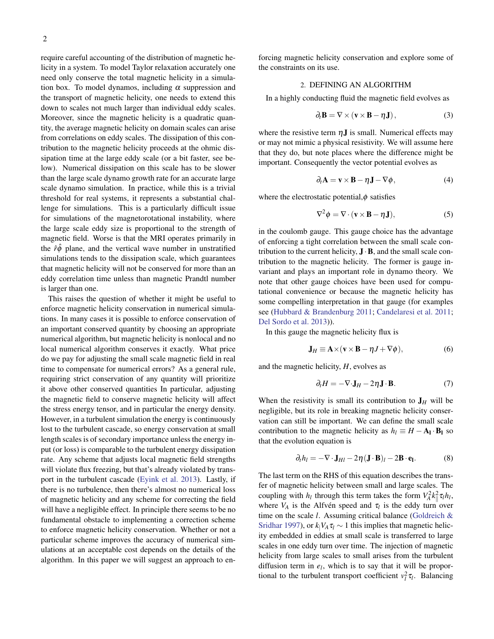require careful accounting of the distribution of magnetic helicity in a system. To model Taylor relaxation accurately one need only conserve the total magnetic helicity in a simulation box. To model dynamos, including  $\alpha$  suppression and the transport of magnetic helicity, one needs to extend this down to scales not much larger than individual eddy scales. Moreover, since the magnetic helicity is a quadratic quantity, the average magnetic helicity on domain scales can arise from correlations on eddy scales. The dissipation of this contribution to the magnetic helicity proceeds at the ohmic dissipation time at the large eddy scale (or a bit faster, see below). Numerical dissipation on this scale has to be slower than the large scale dynamo growth rate for an accurate large scale dynamo simulation. In practice, while this is a trivial threshold for real systems, it represents a substantial challenge for simulations. This is a particularly difficult issue for simulations of the magnetorotational instability, where the large scale eddy size is proportional to the strength of magnetic field. Worse is that the MRI operates primarily in the  $\hat{r}\hat{\phi}$  plane, and the vertical wave number in unstratified simulations tends to the dissipation scale, which guarantees that magnetic helicity will not be conserved for more than an eddy correlation time unless than magnetic Prandtl number is larger than one.

This raises the question of whether it might be useful to enforce magnetic helicity conservation in numerical simulations. In many cases it is possible to enforce conservation of an important conserved quantity by choosing an appropriate numerical algorithm, but magnetic helicity is nonlocal and no local numerical algorithm conserves it exactly. What price do we pay for adjusting the small scale magnetic field in real time to compensate for numerical errors? As a general rule, requiring strict conservation of any quantity will prioritize it above other conserved quantities In particular, adjusting the magnetic field to conserve magnetic helicity will affect the stress energy tensor, and in particular the energy density. However, in a turbulent simulation the energy is continuously lost to the turbulent cascade, so energy conservation at small length scales is of secondary importance unless the energy input (or loss) is comparable to the turbulent energy dissipation rate. Any scheme that adjusts local magnetic field strengths will violate flux freezing, but that's already violated by transport in the turbulent cascade [\(Eyink et al.](#page-9-10) [2013\)](#page-9-10). Lastly, if there is no turbulence, then there's almost no numerical loss of magnetic helicity and any scheme for correcting the field will have a negligible effect. In principle there seems to be no fundamental obstacle to implementing a correction scheme to enforce magnetic helicity conservation. Whether or not a particular scheme improves the accuracy of numerical simulations at an acceptable cost depends on the details of the algorithm. In this paper we will suggest an approach to enforcing magnetic helicity conservation and explore some of the constraints on its use.

# 2. DEFINING AN ALGORITHM

In a highly conducting fluid the magnetic field evolves as

$$
\partial_t \mathbf{B} = \nabla \times (\mathbf{v} \times \mathbf{B} - \eta \mathbf{J}), \tag{3}
$$

where the resistive term  $\eta$ **J** is small. Numerical effects may or may not mimic a physical resistivity. We will assume here that they do, but note places where the difference might be important. Consequently the vector potential evolves as

$$
\partial_t \mathbf{A} = \mathbf{v} \times \mathbf{B} - \eta \mathbf{J} - \nabla \phi, \tag{4}
$$

where the electrostatic potential, $\phi$  satisfies

$$
\nabla^2 \phi = \nabla \cdot (\mathbf{v} \times \mathbf{B} - \eta \mathbf{J}), \tag{5}
$$

in the coulomb gauge. This gauge choice has the advantage of enforcing a tight correlation between the small scale contribution to the current helicity,  $\mathbf{J} \cdot \mathbf{B}$ , and the small scale contribution to the magnetic helicity. The former is gauge invariant and plays an important role in dynamo theory. We note that other gauge choices have been used for computational convenience or because the magnetic helicity has some compelling interpretation in that gauge (for examples see [\(Hubbard & Brandenburg](#page-9-11) [2011;](#page-9-11) [Candelaresi et al.](#page-6-1) [2011;](#page-6-1) [Del Sordo et al.](#page-9-12) [2013\)](#page-9-12)).

In this gauge the magnetic helicity flux is

$$
\mathbf{J}_H \equiv \mathbf{A} \times (\mathbf{v} \times \mathbf{B} - \eta J + \nabla \phi), \tag{6}
$$

and the magnetic helicity, *H*, evolves as

$$
\partial_t H = -\nabla \cdot \mathbf{J}_H - 2\eta \mathbf{J} \cdot \mathbf{B}.
$$
 (7)

When the resistivity is small its contribution to  $J_H$  will be negligible, but its role in breaking magnetic helicity conservation can still be important. We can define the small scale contribution to the magnetic helicity as  $h_l \equiv H - A_l \cdot B_l$  so that the evolution equation is

$$
\partial_t h_l = -\nabla \cdot \mathbf{J}_{Hl} - 2\eta (\mathbf{J} \cdot \mathbf{B})_l - 2\mathbf{B} \cdot \mathbf{e}_l. \tag{8}
$$

The last term on the RHS of this equation describes the transfer of magnetic helicity between small and large scales. The coupling with  $h_l$  through this term takes the form  $V_A^2 k_{\parallel}^2 \tau_l h_l$ , where  $V_A$  is the Alfven speed and  $\tau_l$  is the eddy turn over time on the scale *l*. Assuming critical balance [\(Goldreich &](#page-9-13) [Sridhar](#page-9-13) [1997\)](#page-9-13), or  $k_1V_A \tau_l \sim 1$  this implies that magnetic helicity embedded in eddies at small scale is transferred to large scales in one eddy turn over time. The injection of magnetic helicity from large scales to small arises from the turbulent diffusion term in  $e_l$ , which is to say that it will be proportional to the turbulent transport coefficient  $v_l^2 \tau_l$ . Balancing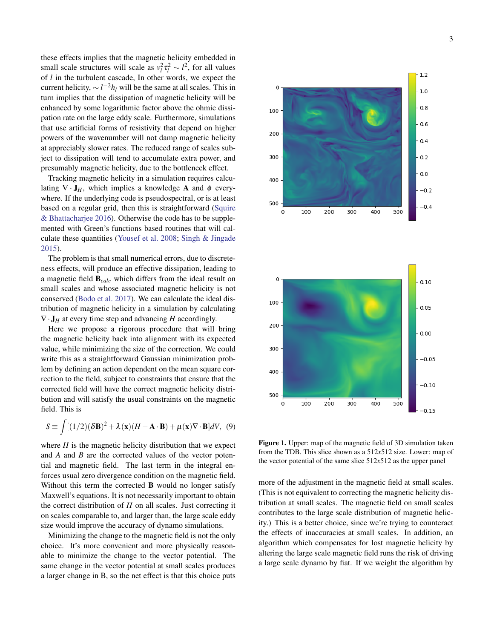these effects implies that the magnetic helicity embedded in small scale structures will scale as  $v_l^2 \tau_l^2 \sim l^2$ , for all values of *l* in the turbulent cascade, In other words, we expect the current helicity,  $\sim l^{-2}h_l$  will be the same at all scales. This in turn implies that the dissipation of magnetic helicity will be enhanced by some logarithmic factor above the ohmic dissipation rate on the large eddy scale. Furthermore, simulations that use artificial forms of resistivity that depend on higher powers of the wavenumber will not damp magnetic helicity at appreciably slower rates. The reduced range of scales subject to dissipation will tend to accumulate extra power, and presumably magnetic helicity, due to the bottleneck effect.

Tracking magnetic helicity in a simulation requires calculating  $\nabla \cdot \mathbf{J}_H$ , which implies a knowledge **A** and  $\phi$  everywhere. If the underlying code is pseudospectral, or is at least based on a regular grid, then this is straightforward [\(Squire](#page-9-14) [& Bhattacharjee](#page-9-14) [2016\)](#page-9-14). Otherwise the code has to be supplemented with Green's functions based routines that will calculate these quantities [\(Yousef et al.](#page-9-15) [2008;](#page-9-15) [Singh & Jingade](#page-9-16) [2015\)](#page-9-16).

The problem is that small numerical errors, due to discreteness effects, will produce an effective dissipation, leading to a magnetic field B*calc* which differs from the ideal result on small scales and whose associated magnetic helicity is not conserved [\(Bodo et al.](#page-6-2) [2017\)](#page-6-2). We can calculate the ideal distribution of magnetic helicity in a simulation by calculating  $\nabla \cdot \mathbf{J}_H$  at every time step and advancing *H* accordingly.

Here we propose a rigorous procedure that will bring the magnetic helicity back into alignment with its expected value, while minimizing the size of the correction. We could write this as a straightforward Gaussian minimization problem by defining an action dependent on the mean square correction to the field, subject to constraints that ensure that the corrected field will have the correct magnetic helicity distribution and will satisfy the usual constraints on the magnetic field. This is

$$
S \equiv \int [(1/2)(\delta \mathbf{B})^2 + \lambda(\mathbf{x})(H - \mathbf{A} \cdot \mathbf{B}) + \mu(\mathbf{x}) \nabla \cdot \mathbf{B}]dV, (9)
$$

where  $H$  is the magnetic helicity distribution that we expect and *A* and *B* are the corrected values of the vector potential and magnetic field. The last term in the integral enforces usual zero divergence condition on the magnetic field. Without this term the corrected **B** would no longer satisfy Maxwell's equations. It is not necessarily important to obtain the correct distribution of  $H$  on all scales. Just correcting it on scales comparable to, and larger than, the large scale eddy size would improve the accuracy of dynamo simulations.

Minimizing the change to the magnetic field is not the only choice. It's more convenient and more physically reasonable to minimize the change to the vector potential. The same change in the vector potential at small scales produces a larger change in B, so the net effect is that this choice puts





Figure 1. Upper: map of the magnetic field of 3D simulation taken from the TDB. This slice shown as a 512*x*512 size. Lower: map of the vector potential of the same slice  $512x512$  as the upper panel

more of the adjustment in the magnetic field at small scales. (This is not equivalent to correcting the magnetic helicity distribution at small scales. The magnetic field on small scales contributes to the large scale distribution of magnetic helicity.) This is a better choice, since we're trying to counteract the effects of inaccuracies at small scales. In addition, an algorithm which compensates for lost magnetic helicity by altering the large scale magnetic field runs the risk of driving a large scale dynamo by fiat. If we weight the algorithm by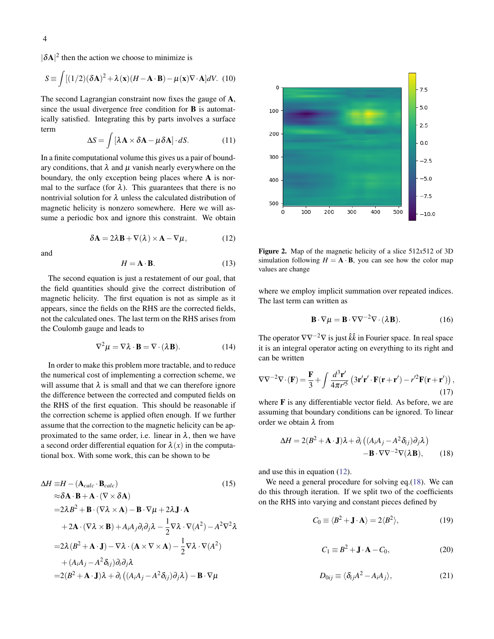$|\delta A|^2$  then the action we choose to minimize is

$$
S \equiv \int [(1/2)(\delta \mathbf{A})^2 + \lambda(\mathbf{x})(H - \mathbf{A} \cdot \mathbf{B}) - \mu(\mathbf{x}) \nabla \cdot \mathbf{A}]dV.
$$
 (10)

The second Lagrangian constraint now fixes the gauge of A, since the usual divergence free condition for B is automatically satisfied. Integrating this by parts involves a surface term

$$
\Delta S = \int \left[ \lambda \mathbf{A} \times \delta \mathbf{A} - \mu \delta \mathbf{A} \right] \cdot dS. \tag{11}
$$

In a finite computational volume this gives us a pair of boundary conditions, that  $\lambda$  and  $\mu$  vanish nearly everywhere on the boundary, the only exception being places where A is normal to the surface (for  $\lambda$ ). This guarantees that there is no nontrivial solution for  $\lambda$  unless the calculated distribution of magnetic helicity is nonzero somewhere. Here we will assume a periodic box and ignore this constraint. We obtain

$$
\delta \mathbf{A} = 2\lambda \mathbf{B} + \nabla(\lambda) \times \mathbf{A} - \nabla \mu, \tag{12}
$$

<span id="page-3-0"></span>and

$$
H = \mathbf{A} \cdot \mathbf{B}.\tag{13}
$$

The second equation is just a restatement of our goal, that the field quantities should give the correct distribution of magnetic helicity. The first equation is not as simple as it appears, since the fields on the RHS are the corrected fields, not the calculated ones. The last term on the RHS arises from the Coulomb gauge and leads to

$$
\nabla^2 \mu = \nabla \lambda \cdot \mathbf{B} = \nabla \cdot (\lambda \mathbf{B}). \tag{14}
$$

In order to make this problem more tractable, and to reduce the numerical cost of implementing a correction scheme, we will assume that  $\lambda$  is small and that we can therefore ignore the difference between the corrected and computed fields on the RHS of the first equation. This should be reasonable if the correction scheme is applied often enough. If we further assume that the correction to the magnetic helicity can be approximated to the same order, i.e. linear in  $\lambda$ , then we have a second order differential equation for  $\lambda(x)$  in the computational box. With some work, this can be shown to be

$$
\Delta H = H - (\mathbf{A}_{calc} \cdot \mathbf{B}_{calc}) \tag{15}
$$
\n
$$
\approx \delta \mathbf{A} \cdot \mathbf{B} + \mathbf{A} \cdot (\nabla \times \delta \mathbf{A})
$$
\n
$$
= 2\lambda B^2 + \mathbf{B} \cdot (\nabla \lambda \times \mathbf{A}) - \mathbf{B} \cdot \nabla \mu + 2\lambda \mathbf{J} \cdot \mathbf{A}
$$
\n
$$
+ 2\mathbf{A} \cdot (\nabla \lambda \times \mathbf{B}) + A_i A_j \partial_i \partial_j \lambda - \frac{1}{2} \nabla \lambda \cdot \nabla (A^2) - A^2 \nabla^2 \lambda
$$
\n
$$
= 2\lambda (B^2 + \mathbf{A} \cdot \mathbf{J}) - \nabla \lambda \cdot (\mathbf{A} \times \nabla \times \mathbf{A}) - \frac{1}{2} \nabla \lambda \cdot \nabla (A^2)
$$
\n
$$
+ (A_i A_j - A^2 \delta_{ij}) \partial_i \partial_j \lambda
$$
\n
$$
= 2(B^2 + \mathbf{A} \cdot \mathbf{J})\lambda + \partial_i ((A_i A_j - A^2 \delta_{ij}) \partial_j \lambda) - \mathbf{B} \cdot \nabla \mu
$$
\n(15)



Figure 2. Map of the magnetic helicity of a slice 512*x*512 of 3D simulation following  $H = A \cdot B$ , you can see how the color map values are change

where we employ implicit summation over repeated indices. The last term can written as

$$
\mathbf{B} \cdot \nabla \mu = \mathbf{B} \cdot \nabla \nabla^{-2} \nabla \cdot (\lambda \mathbf{B}). \tag{16}
$$

The operator ∇∇−2∇ is just ˆ*k* ˆ*k* in Fourier space. In real space it is an integral operator acting on everything to its right and can be written

$$
\nabla \nabla^{-2} \nabla \cdot (\mathbf{F}) = \frac{\mathbf{F}}{3} + \int \frac{d^3 \mathbf{r}'}{4\pi r'^5} \left( 3\mathbf{r}' \mathbf{r}' \cdot \mathbf{F}(\mathbf{r} + \mathbf{r}') - r'^2 \mathbf{F}(\mathbf{r} + \mathbf{r}') \right),\tag{17}
$$

where **F** is any differentiable vector field. As before, we are assuming that boundary conditions can be ignored. To linear order we obtain  $\lambda$  from

<span id="page-3-1"></span>
$$
\Delta H = 2(B^2 + \mathbf{A} \cdot \mathbf{J})\lambda + \partial_i ((A_i A_j - A^2 \delta_{ij}) \partial_j \lambda)
$$

$$
- \mathbf{B} \cdot \nabla \nabla^{-2} \nabla (\lambda \mathbf{B}), \qquad (18)
$$

and use this in equation [\(12\)](#page-3-0).

We need a general procedure for solving eq.[\(18\)](#page-3-1). We can do this through iteration. If we split two of the coefficients on the RHS into varying and constant pieces defined by

$$
C_0 \equiv \langle B^2 + \mathbf{J} \cdot \mathbf{A} \rangle = 2 \langle B^2 \rangle, \tag{19}
$$

$$
C_1 \equiv B^2 + \mathbf{J} \cdot \mathbf{A} - C_0,\tag{20}
$$

$$
D_{0ij} \equiv \langle \delta_{ij} A^2 - A_i A_j \rangle, \qquad (21)
$$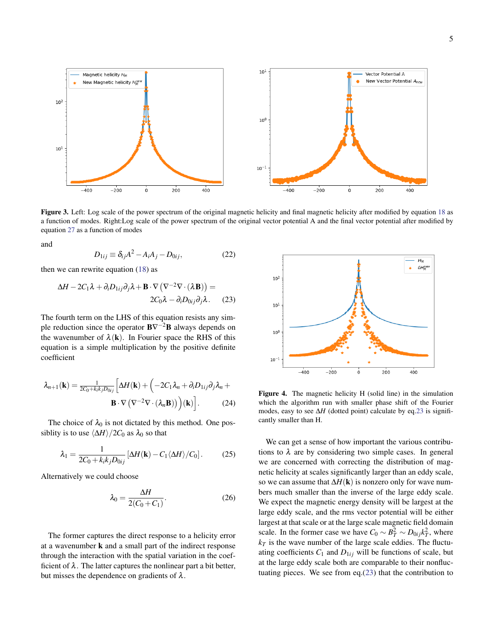

Figure 3. Left: Log scale of the power spectrum of the original magnetic helicity and final magnetic helicity after modified by equation [18](#page-3-1) as a function of modes. Right:Log scale of the power spectrum of the original vector potential A and the final vector potential after modified by equation [27](#page-5-0) as a function of modes

and

$$
D_{1ij} \equiv \delta_{ij} A^2 - A_i A_j - D_{0ij}, \qquad (22)
$$

then we can rewrite equation  $(18)$  as

<span id="page-4-0"></span>
$$
\Delta H - 2C_1 \lambda + \partial_i D_{1ij} \partial_j \lambda + \mathbf{B} \cdot \nabla \left( \nabla^{-2} \nabla \cdot (\lambda \mathbf{B}) \right) =
$$
  
2C\_0 \lambda - \partial\_i D\_{0ij} \partial\_j \lambda. (23)

The fourth term on the LHS of this equation resists any simple reduction since the operator  $B\nabla^{-2}B$  always depends on the wavenumber of  $\lambda(\mathbf{k})$ . In Fourier space the RHS of this equation is a simple multiplication by the positive definite coefficient

$$
\lambda_{n+1}(\mathbf{k}) = \frac{1}{2C_0 + k_i k_j D_{0ij}} \left[ \Delta H(\mathbf{k}) + \left( -2C_1 \lambda_n + \partial_i D_{1ij} \partial_j \lambda_n + \mathbf{B} \cdot \nabla \left( \nabla^{-2} \nabla \cdot (\lambda_n \mathbf{B}) \right) \right) (\mathbf{k}) \right].
$$
 (24)

The choice of  $\lambda_0$  is not dictated by this method. One possiblity is to use  $\langle \Delta H \rangle/2C_0$  as  $\lambda_0$  so that

$$
\lambda_1 = \frac{1}{2C_0 + k_i k_j D_{0ij}} \left[ \Delta H(\mathbf{k}) - C_1 \langle \Delta H \rangle / C_0 \right].
$$
 (25)

Alternatively we could choose

$$
\lambda_0 = \frac{\Delta H}{2(C_0 + C_1)}.\tag{26}
$$

The former captures the direct response to a helicity error at a wavenumber k and a small part of the indirect response through the interaction with the spatial variation in the coefficient of  $\lambda$ . The latter captures the nonlinear part a bit better, but misses the dependence on gradients of  $\lambda$ .



Figure 4. The magnetic helicity H (solid line) in the simulation which the algorithm run with smaller phase shift of the Fourier modes, easy to see ∆*H* (dotted point) calculate by eq[.23](#page-4-0) is significantly smaller than H.

We can get a sense of how important the various contributions to  $\lambda$  are by considering two simple cases. In general we are concerned with correcting the distribution of magnetic helicity at scales significantly larger than an eddy scale, so we can assume that  $\Delta H(\mathbf{k})$  is nonzero only for wave numbers much smaller than the inverse of the large eddy scale. We expect the magnetic energy density will be largest at the large eddy scale, and the rms vector potential will be either largest at that scale or at the large scale magnetic field domain scale. In the former case we have  $C_0 \sim B_T^2 \sim D_{0ij} k_T^2$ , where  $k_T$  is the wave number of the large scale eddies. The fluctuating coefficients  $C_1$  and  $D_{1ij}$  will be functions of scale, but at the large eddy scale both are comparable to their nonfluctuating pieces. We see from eq.[\(23\)](#page-4-0) that the contribution to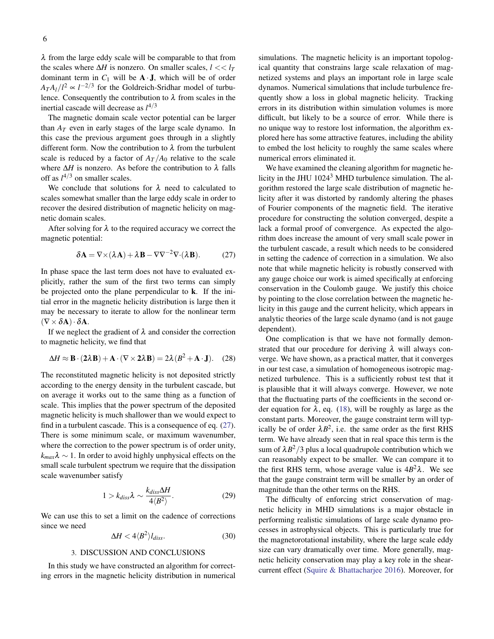$\lambda$  from the large eddy scale will be comparable to that from the scales where  $\Delta H$  is nonzero. On smaller scales,  $l \ll l_T$ dominant term in  $C_1$  will be  $A \cdot J$ , which will be of order  $A_{T}A_{l}/l^{2} \propto l^{-2/3}$  for the Goldreich-Sridhar model of turbulence. Consequently the contribution to  $\lambda$  from scales in the inertial cascade will decrease as *l* 4/3

The magnetic domain scale vector potential can be larger than *A<sup>T</sup>* even in early stages of the large scale dynamo. In this case the previous argument goes through in a slightly different form. Now the contribution to  $\lambda$  from the turbulent scale is reduced by a factor of  $A_T/A_0$  relative to the scale where  $\Delta H$  is nonzero. As before the contribution to  $\lambda$  falls off as  $l^{4/3}$  on smaller scales.

We conclude that solutions for  $\lambda$  need to calculated to scales somewhat smaller than the large eddy scale in order to recover the desired distribution of magnetic helicity on magnetic domain scales.

After solving for  $\lambda$  to the required accuracy we correct the magnetic potential:

<span id="page-5-0"></span>
$$
\delta \mathbf{A} = \nabla \times (\lambda \mathbf{A}) + \lambda \mathbf{B} - \nabla \nabla^{-2} \nabla \cdot (\lambda \mathbf{B}). \tag{27}
$$

In phase space the last term does not have to evaluated explicitly, rather the sum of the first two terms can simply be projected onto the plane perpendicular to k. If the initial error in the magnetic helicity distribution is large then it may be necessary to iterate to allow for the nonlinear term  $(\nabla \times \delta {\bf A}) \cdot \delta {\bf A}.$ 

If we neglect the gradient of  $\lambda$  and consider the correction to magnetic helicity, we find that

$$
\Delta H \approx \mathbf{B} \cdot (2\lambda \mathbf{B}) + \mathbf{A} \cdot (\nabla \times 2\lambda \mathbf{B}) = 2\lambda (B^2 + \mathbf{A} \cdot \mathbf{J}). \quad (28)
$$

The reconstituted magnetic helicity is not deposited strictly according to the energy density in the turbulent cascade, but on average it works out to the same thing as a function of scale. This implies that the power spectrum of the deposited magnetic helicity is much shallower than we would expect to find in a turbulent cascade. This is a consequence of eq. [\(27\)](#page-5-0). There is some minimum scale, or maximum wavenumber, where the correction to the power spectrum is of order unity,  $k_{max}$  $\lambda \sim 1$ . In order to avoid highly unphysical effects on the small scale turbulent spectrum we require that the dissipation scale wavenumber satisfy

$$
1 > k_{diss}\lambda \sim \frac{k_{diss}\Delta H}{4\langle B^2 \rangle}.
$$
 (29)

We can use this to set a limit on the cadence of corrections since we need

$$
\Delta H < 4 \langle B^2 \rangle l_{diss}.\tag{30}
$$

### 3. DISCUSSION AND CONCLUSIONS

In this study we have constructed an algorithm for correcting errors in the magnetic helicity distribution in numerical simulations. The magnetic helicity is an important topological quantity that constrains large scale relaxation of magnetized systems and plays an important role in large scale dynamos. Numerical simulations that include turbulence frequently show a loss in global magnetic helicity. Tracking errors in its distribution within simulation volumes is more difficult, but likely to be a source of error. While there is no unique way to restore lost information, the algorithm explored here has some attractive features, including the ability to embed the lost helicity to roughly the same scales where numerical errors eliminated it.

We have examined the cleaning algorithm for magnetic helicity in the JHU 1024<sup>3</sup> MHD turbulence simulation. The algorithm restored the large scale distribution of magnetic helicity after it was distorted by randomly altering the phases of Fourier components of the magnetic field. The iterative procedure for constructing the solution converged, despite a lack a formal proof of convergence. As expected the algorithm does increase the amount of very small scale power in the turbulent cascade, a result which needs to be considered in setting the cadence of correction in a simulation. We also note that while magnetic helicity is robustly conserved with any gauge choice our work is aimed specifically at enforcing conservation in the Coulomb gauge. We justify this choice by pointing to the close correlation between the magnetic helicity in this gauge and the current helicity, which appears in analytic theories of the large scale dynamo (and is not gauge dependent).

One complication is that we have not formally demonstrated that our procedure for deriving  $\lambda$  will always converge. We have shown, as a practical matter, that it converges in our test case, a simulation of homogeneous isotropic magnetized turbulence. This is a sufficiently robust test that it is plausible that it will always converge. However, we note that the fluctuating parts of the coefficients in the second order equation for  $\lambda$ , eq. [\(18\)](#page-3-1), will be roughly as large as the constant parts. Moreover, the gauge constraint term will typically be of order  $\lambda B^2$ , i.e. the same order as the first RHS term. We have already seen that in real space this term is the sum of  $\lambda B^2/3$  plus a local quadrupole contribution which we can reasonably expect to be smaller. We can compare it to the first RHS term, whose average value is  $4B^2\lambda$ . We see that the gauge constraint term will be smaller by an order of magnitude than the other terms on the RHS.

The difficulty of enforcing strict conservation of magnetic helicity in MHD simulations is a major obstacle in performing realistic simulations of large scale dynamo processes in astrophysical objects. This is particularly true for the magnetorotational instability, where the large scale eddy size can vary dramatically over time. More generally, magnetic helicity conservation may play a key role in the shearcurrent effect [\(Squire & Bhattacharjee](#page-9-14) [2016\)](#page-9-14). Moreover, for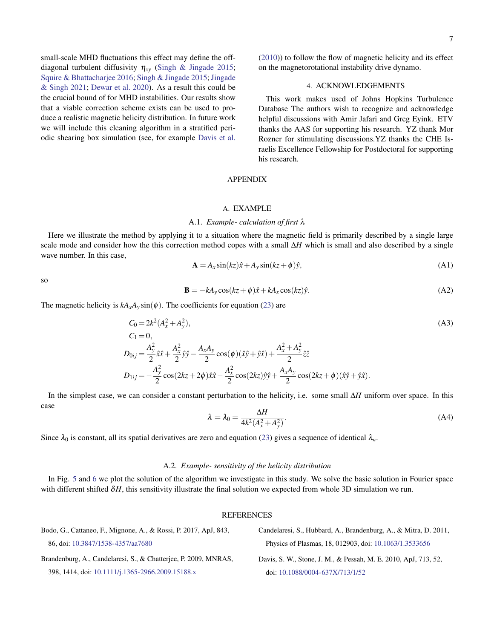small-scale MHD fluctuations this effect may define the offdiagonal turbulent diffusivity  $\eta_{xy}$  [\(Singh & Jingade](#page-9-16) [2015;](#page-9-16) [Squire & Bhattacharjee](#page-9-14) [2016;](#page-9-14) [Singh & Jingade](#page-9-16) [2015;](#page-9-16) [Jingade](#page-9-17) [& Singh](#page-9-17) [2021;](#page-9-17) [Dewar et al.](#page-9-18) [2020\)](#page-9-18). As a result this could be the crucial bound of for MHD instabilities. Our results show that a viable correction scheme exists can be used to produce a realistic magnetic helicity distribution. In future work we will include this cleaning algorithm in a stratified periodic shearing box simulation (see, for example [Davis et al.](#page-6-3)

[\(2010\)](#page-6-3)) to follow the flow of magnetic helicity and its effect on the magnetorotational instability drive dynamo.

# 4. ACKNOWLEDGEMENTS

This work makes used of Johns Hopkins Turbulence Database The authors wish to recognize and acknowledge helpful discussions with Amir Jafari and Greg Eyink. ETV thanks the AAS for supporting his research. YZ thank Mor Rozner for stimulating discussions.YZ thanks the CHE Israelis Excellence Fellowship for Postdoctoral for supporting his research.

# APPENDIX

# A. EXAMPLE

#### A.1. *Example- calculation of first* λ

Here we illustrate the method by applying it to a situation where the magnetic field is primarily described by a single large scale mode and consider how the this correction method copes with a small ∆*H* which is small and also described by a single wave number. In this case,

$$
\mathbf{A} = A_x \sin(kz)\hat{x} + A_y \sin(kz + \phi)\hat{y},\tag{A1}
$$

so

$$
\mathbf{B} = -kA_y \cos(kz + \phi)\hat{x} + kA_x \cos(kz)\hat{y}.\tag{A2}
$$

The magnetic helicity is  $kA_xA_y \sin(\phi)$ . The coefficients for equation [\(23\)](#page-4-0) are

$$
C_0 = 2k^2(A_x^2 + A_y^2),
$$
  
\n
$$
C_1 = 0,
$$
  
\n
$$
D_{0ij} = \frac{A_y^2}{2}\hat{x}\hat{x} + \frac{A_x^2}{2}\hat{y}\hat{y} - \frac{A_xA_y}{2}\cos(\phi)(\hat{x}\hat{y} + \hat{y}\hat{x}) + \frac{A_x^2 + A_y^2}{2}\hat{z}\hat{z}
$$
  
\n
$$
D_{1ij} = -\frac{A_y^2}{2}\cos(2kz + 2\phi)\hat{x}\hat{x} - \frac{A_x^2}{2}\cos(2kz)\hat{y}\hat{y} + \frac{A_xA_y}{2}\cos(2kz + \phi)(\hat{x}\hat{y} + \hat{y}\hat{x}).
$$
\n(A3)

In the simplest case, we can consider a constant perturbation to the helicity, i.e. some small ∆*H* uniform over space. In this case

$$
\lambda = \lambda_0 = \frac{\Delta H}{4k^2(A_x^2 + A_y^2)}.
$$
\n(A4)

Since  $\lambda_0$  is constant, all its spatial derivatives are zero and equation [\(23\)](#page-4-0) gives a sequence of identical  $\lambda_n$ .

# A.2. *Example- sensitivity of the helicity distribution*

In Fig. [5](#page-7-0) and [6](#page-8-0) we plot the solution of the algorithm we investigate in this study. We solve the basic solution in Fourier space with different shifted δ*H*, this sensitivity illustrate the final solution we expected from whole 3D simulation we run.

## <span id="page-6-3"></span><span id="page-6-1"></span>REFERENCES

<span id="page-6-2"></span><span id="page-6-0"></span>

| Bodo, G., Cattaneo, F., Mignone, A., & Rossi, P. 2017, ApJ, 843, | Candelaresi, S., Hubbard, A., Brandenburg, A., & Mitra, D. 2011, |
|------------------------------------------------------------------|------------------------------------------------------------------|
| 86. doi: 10.3847/1538-4357/aa7680                                | Physics of Plasmas, 18, 012903, doi: 10.1063/1.3533656           |
| Brandenburg, A., Candelaresi, S., & Chatteriee, P. 2009, MNRAS,  | Davis, S. W., Stone, J. M., & Pessah, M. E. 2010, ApJ, 713, 52,  |
| 398, 1414, doi: 10.1111/j.1365-2966.2009.15188.x                 | doi: 10.1088/0004-637X/713/1/52                                  |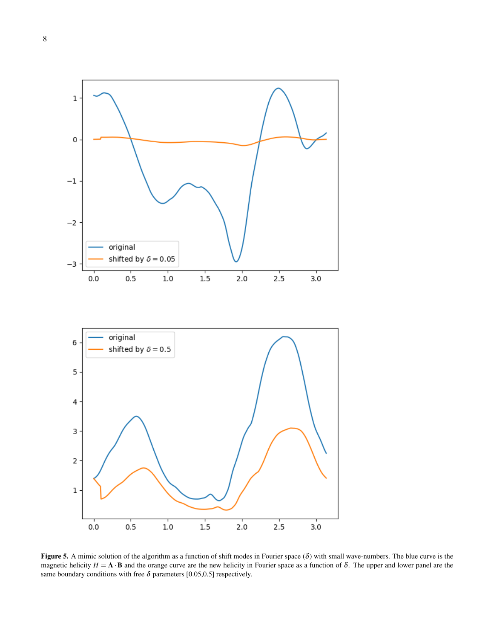<span id="page-7-0"></span>

Figure 5. A mimic solution of the algorithm as a function of shift modes in Fourier space  $(\delta)$  with small wave-numbers. The blue curve is the magnetic helicity  $H = A \cdot B$  and the orange curve are the new helicity in Fourier space as a function of  $\delta$ . The upper and lower panel are the same boundary conditions with free  $\delta$  parameters [0.05,0.5] respectively.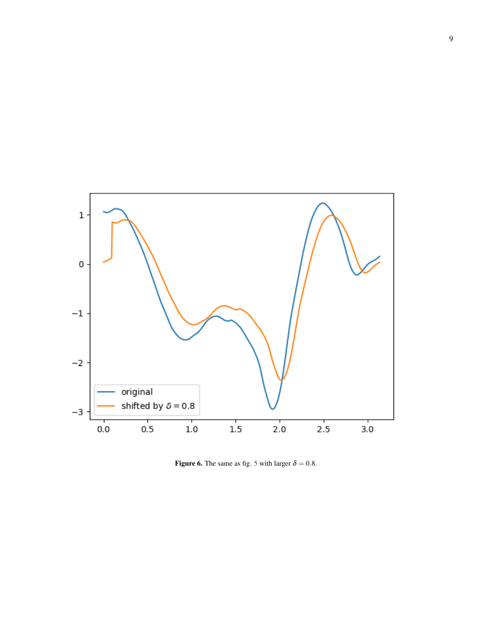<span id="page-8-0"></span>

Figure 6. The same as fig. [5](#page-7-0) with larger  $\delta = 0.8$ .